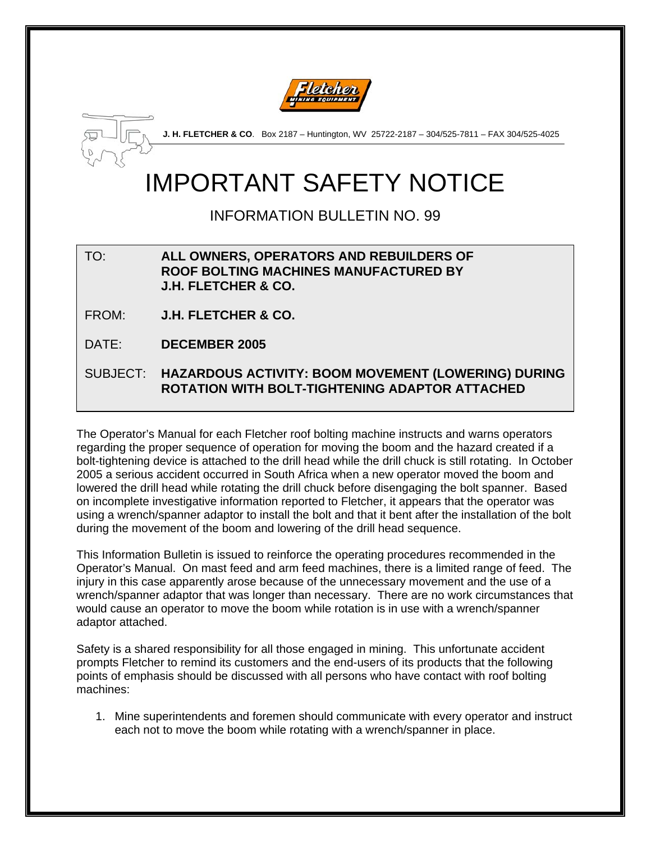



**J. H. FLETCHER & CO**. Box 2187 – Huntington, WV 25722-2187 – 304/525-7811 – FAX 304/525-4025

## IMPORTANT SAFETY NOTICE

INFORMATION BULLETIN NO. 99

TO: **ALL OWNERS, OPERATORS AND REBUILDERS OF ROOF BOLTING MACHINES MANUFACTURED BY J.H. FLETCHER & CO.** 

FROM: **J.H. FLETCHER & CO.** 

DATE: **DECEMBER 2005**

SUBJECT: **HAZARDOUS ACTIVITY: BOOM MOVEMENT (LOWERING) DURING ROTATION WITH BOLT-TIGHTENING ADAPTOR ATTACHED** 

The Operator's Manual for each Fletcher roof bolting machine instructs and warns operators regarding the proper sequence of operation for moving the boom and the hazard created if a bolt-tightening device is attached to the drill head while the drill chuck is still rotating. In October 2005 a serious accident occurred in South Africa when a new operator moved the boom and lowered the drill head while rotating the drill chuck before disengaging the bolt spanner. Based on incomplete investigative information reported to Fletcher, it appears that the operator was using a wrench/spanner adaptor to install the bolt and that it bent after the installation of the bolt during the movement of the boom and lowering of the drill head sequence.

This Information Bulletin is issued to reinforce the operating procedures recommended in the Operator's Manual. On mast feed and arm feed machines, there is a limited range of feed. The injury in this case apparently arose because of the unnecessary movement and the use of a wrench/spanner adaptor that was longer than necessary. There are no work circumstances that would cause an operator to move the boom while rotation is in use with a wrench/spanner adaptor attached.

Safety is a shared responsibility for all those engaged in mining. This unfortunate accident prompts Fletcher to remind its customers and the end-users of its products that the following points of emphasis should be discussed with all persons who have contact with roof bolting machines:

1. Mine superintendents and foremen should communicate with every operator and instruct each not to move the boom while rotating with a wrench/spanner in place.